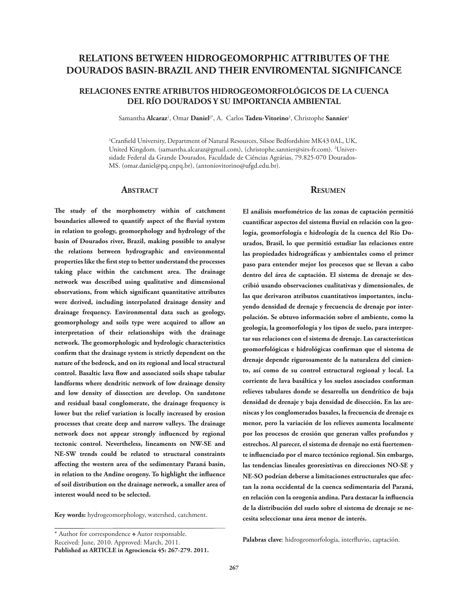# **RELATIONS BETWEEN HIDROGEOMORPHIC ATTRIBUTES OF THE DOURADOS BASIN-BRAZIL AND THEIR ENVIROMENTAL SIGNIFICANCE**

## **RELACIONES ENTRE ATRIBUTOS HIDROGEOMORFOLÓGICOS DE LA CUENCA DEL RÍO DOURADOS Y SU IMPORTANCIA AMBIENTAL**

Samantha **Alcaraz**<sup>1</sup> , Omar **Daniel**2\*, A. Carlos **Tadeu-Vitorino**<sup>2</sup> , Christophe **Sannier**<sup>1</sup>

1 Cranfield University, Department of Natural Resources, Silsoe Bedfordshire MK43 0AL, UK, United Kingdom. (samantha.alcaraz@gmail.com), (christophe.sannier@sirs-fr.com). <sup>2</sup>Universidade Federal da Grande Dourados, Faculdade de Ciências Agrárias, 79.825-070 Dourados-MS. (omar.daniel@pq.cnpq.br), (antoniovitorino@ufgd.edu.br).

### **Abstract**

**The study of the morphometry within of catchment boundaries allowed to quantify aspect of the fluvial system in relation to geology, geomorphology and hydrology of the basin of Dourados river, Brazil, making possible to analyse the relations between hydrographic and environmental properties like the first step to better understand the processes taking place within the catchment area. The drainage network was described using qualitative and dimensional observations, from which significant quantitative attributes were derived, including interpolated drainage density and drainage frequency. Environmental data such as geology, geomorphology and soils type were acquired to allow an interpretation of their relationships with the drainage network. The geomorphologic and hydrologic characteristics confirm that the drainage system is strictly dependent on the nature of the bedrock, and on its regional and local structural control. Basaltic lava flow and associated soils shape tabular landforms where dendritic network of low drainage density and low density of dissection are develop. On sandstone and residual basal conglomerate, the drainage frequency is lower but the relief variation is locally increased by erosion processes that create deep and narrow valleys. The drainage network does not appear strongly influenced by regional tectonic control. Nevertheless, lineaments on NW-SE and NE-SW trends could be related to structural constraints affecting the western area of the sedimentary Paraná basin, in relation to the Andine orogeny. To highlight the influence of soil distribution on the drainage network, a smaller area of interest would need to be selected.**

**Key words:** hydrogeomorphology, watershed, catchment.

\* Author for correspondence  $\triangle$  Autor responsable. Received: June, 2010. Approved: March, 2011. **Published as ARTICLE in Agrociencia 45: 267-279. 2011.**

### **Resumen**

**El análisis morfométrico de las zonas de captación permitió cuantificar aspectos del sistema fluvial en relación con la geología, geomorfología e hidrología de la cuenca del Río Dourados, Brasil, lo que permitió estudiar las relaciones entre las propiedades hidrográficas y ambientales como el primer paso para entender mejor los procesos que se llevan a cabo dentro del área de captación. El sistema de drenaje se describió usando observaciones cualitativas y dimensionales, de las que derivaron atributos cuantitativos importantes, incluyendo densidad de drenaje y frecuencia de drenaje por interpolación. Se obtuvo información sobre el ambiente, como la geología, la geomorfología y los tipos de suelo, para interpretar sus relaciones con el sistema de drenaje. Las características geomorfológicas e hidrológicas confirman que el sistema de drenaje depende rigurosamente de la naturaleza del cimiento, así como de su control estructural regional y local. La corriente de lava basáltica y los suelos asociados conforman relieves tabulares donde se desarrolla un dendrítico de baja densidad de drenaje y baja densidad de disección. En las areniscas y los conglomerados basales, la frecuencia de drenaje es menor, pero la variación de los relieves aumenta localmente por los procesos de erosión que generan valles profundos y estrechos. Al parecer, el sistema de drenaje no está fuertemente influenciado por el marco tectónico regional. Sin embargo, las tendencias lineales georesistivas en direcciones NO-SE y NE-SO podrían deberse a limitaciones estructurales que afectan la zona occidental de la cuenca sedimentaria del Paraná, en relación con la orogenia andina. Para destacar la influencia de la distribución del suelo sobre el sistema de drenaje se necesita seleccionar una área menor de interés.**

**Palabras clave**: hidrogeomorfología, interfluvio, captación.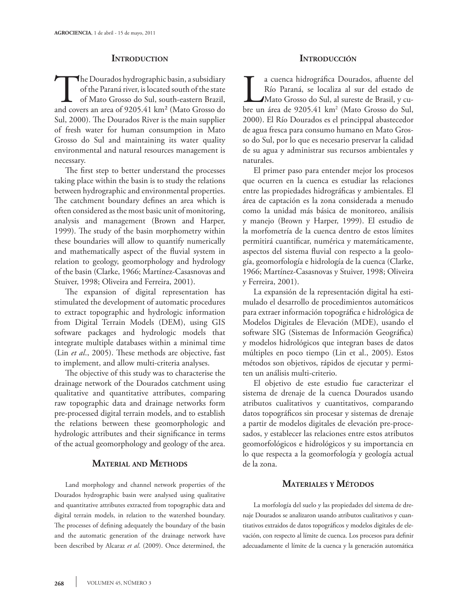### **Introduction**

The Dourados hydrographic basin, a subsidiary<br>of the Paraná river, is located south of the state<br>of Mato Grosso do Sul, south-eastern Brazil,<br>and covers an area of 9205.41 km<sup>2</sup> (Mato Grosso do of the Paraná river, is located south of the state of Mato Grosso do Sul, south-eastern Brazil, and covers an area of 9205.41 km² (Mato Grosso do Sul, 2000). The Dourados River is the main supplier of fresh water for human consumption in Mato Grosso do Sul and maintaining its water quality environmental and natural resources management is necessary.

The first step to better understand the processes taking place within the basin is to study the relations between hydrographic and environmental properties. The catchment boundary defines an area which is often considered as the most basic unit of monitoring, analysis and management (Brown and Harper, 1999). The study of the basin morphometry within these boundaries will allow to quantify numerically and mathematically aspect of the fluvial system in relation to geology, geomorphology and hydrology of the basin (Clarke, 1966; Martínez-Casasnovas and Stuiver, 1998; Oliveira and Ferreira, 2001).

The expansion of digital representation has stimulated the development of automatic procedures to extract topographic and hydrologic information from Digital Terrain Models (DEM), using GIS software packages and hydrologic models that integrate multiple databases within a minimal time (Lin *et al*., 2005). These methods are objective, fast to implement, and allow multi-criteria analyses.

The objective of this study was to characterise the drainage network of the Dourados catchment using qualitative and quantitative attributes, comparing raw topographic data and drainage networks form pre-processed digital terrain models, and to establish the relations between these geomorphologic and hydrologic attributes and their significance in terms of the actual geomorphology and geology of the area.

## **Material and Methods**

Land morphology and channel network properties of the Dourados hydrographic basin were analysed using qualitative and quantitative attributes extracted from topographic data and digital terrain models, in relation to the watershed boundary. The processes of defining adequately the boundary of the basin and the automatic generation of the drainage network have been described by Alcaraz *et al*. (2009). Once determined, the

### **Introducción**

a cuenca hidrográfica Dourados, afluente del<br>Río Paraná, se localiza al sur del estado de<br>Mato Grosso do Sul, al sureste de Brasil, y cu-<br>bre un área de 9205.41 km<sup>2</sup> (Mato Grosso do Sul, Río Paraná, se localiza al sur del estado de Mato Grosso do Sul, al sureste de Brasil, y cubre un área de 9205.41 km2 (Mato Grosso do Sul, 2000). El Río Dourados es el princippal abastecedor de agua fresca para consumo humano en Mato Grosso do Sul, por lo que es necesario preservar la calidad de su agua y administrar sus recursos ambientales y naturales.

El primer paso para entender mejor los procesos que ocurren en la cuenca es estudiar las relaciones entre las propiedades hidrográficas y ambientales. El área de captación es la zona considerada a menudo como la unidad más básica de monitoreo, análisis y manejo (Brown y Harper, 1999). El estudio de la morfometría de la cuenca dentro de estos límites permitirá cuantificar, numérica y matemáticamente, aspectos del sistema fluvial con respecto a la geología, geomorfología e hidrología de la cuenca (Clarke, 1966; Martínez-Casasnovas y Stuiver, 1998; Oliveira y Ferreira, 2001).

La expansión de la representación digital ha estimulado el desarrollo de procedimientos automáticos para extraer información topográfica e hidrológica de Modelos Digitales de Elevación (MDE), usando el software SIG (Sistemas de Información Geográfica) y modelos hidrológicos que integran bases de datos múltiples en poco tiempo (Lin et al., 2005). Estos métodos son objetivos, rápidos de ejecutar y permiten un análisis multi-criterio.

El objetivo de este estudio fue caracterizar el sistema de drenaje de la cuenca Dourados usando atributos cualitativos y cuantitativos, comparando datos topográficos sin procesar y sistemas de drenaje a partir de modelos digitales de elevación pre-procesados, y establecer las relaciones entre estos atributos geomorfológicos e hidrológicos y su importancia en lo que respecta a la geomorfología y geología actual de la zona.

### **Materiales <sup>y</sup> Métodos**

La morfología del suelo y las propiedades del sistema de drenaje Dourados se analizaron usando atributos cualitativos y cuantitativos extraidos de datos topográficos y modelos digitales de elevación, con respecto al límite de cuenca. Los procesos para definir adecuadamente el límite de la cuenca y la generación automática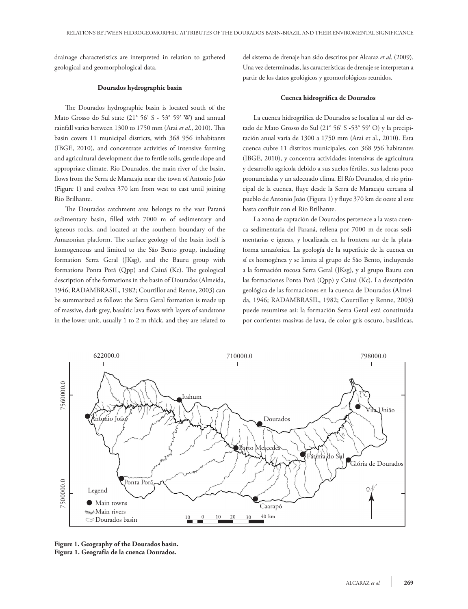drainage characteristics are interpreted in relation to gathered geological and geomorphological data.

#### **Dourados hydrographic basin**

The Dourados hydrographic basin is located south of the Mato Grosso do Sul state (21° 56' S - 53° 59' W) and annual rainfall varies between 1300 to 1750 mm (Arai *et al*., 2010). This basin covers 11 municipal districts, with 368 956 inhabitants (IBGE, 2010), and concentrate activities of intensive farming and agricultural development due to fertile soils, gentle slope and appropriate climate. Rio Dourados, the main river of the basin, flows from the Serra de Maracaju near the town of Antonio João (Figure 1) and evolves 370 km from west to east until joining Rio Brilhante.

The Dourados catchment area belongs to the vast Paraná sedimentary basin, filled with 7000 m of sedimentary and igneous rocks, and located at the southern boundary of the Amazonian platform. The surface geology of the basin itself is homogeneous and limited to the São Bento group, including formation Serra Geral (JKsg), and the Bauru group with formations Ponta Porã (Qpp) and Caiuá (Kc). The geological description of the formations in the basin of Dourados (Almeida, 1946; RADAMBRASIL, 1982; Courtillot and Renne, 2003) can be summarized as follow: the Serra Geral formation is made up of massive, dark grey, basaltic lava flows with layers of sandstone in the lower unit, usually 1 to 2 m thick, and they are related to del sistema de drenaje han sido descritos por Alcaraz *et al*. (2009). Una vez determinadas, las características de drenaje se interpretan a partir de los datos geológicos y geomorfológicos reunidos.

#### **Cuenca hidrográfica de Dourados**

La cuenca hidrográfica de Dourados se localiza al sur del estado de Mato Grosso do Sul (21° 56' S -53° 59' O) y la precipitación anual varía de 1300 a 1750 mm (Arai et al., 2010). Esta cuenca cubre 11 distritos municipales, con 368 956 habitantes (IBGE, 2010), y concentra actividades intensivas de agricultura y desarrollo agrícola debido a sus suelos fértiles, sus laderas poco pronunciadas y un adecuado clima. El Río Dourados, el río principal de la cuenca, fluye desde la Serra de Maracaju cercana al pueblo de Antonio João (Figura 1) y fluye 370 km de oeste al este hasta confluir con el Rio Brilhante.

La zona de captación de Dourados pertenece a la vasta cuenca sedimentaria del Paraná, rellena por 7000 m de rocas sedimentarias e ígneas, y localizada en la frontera sur de la plataforma amazónica. La geología de la superficie de la cuenca en sí es homogénea y se limita al grupo de São Bento, incluyendo a la formación rocosa Serra Geral (JKsg), y al grupo Bauru con las formaciones Ponta Porã (Qpp) y Caiuá (Kc). La descripción geológica de las formaciones en la cuenca de Dourados (Almeida, 1946; RADAMBRASIL, 1982; Courtillot y Renne, 2003) puede resumirse así: la formación Serra Geral está constituida por corrientes masivas de lava, de color gris oscuro, basálticas,



**Figure 1. Geography of the Dourados basin. Figura 1. Geografía de la cuenca Dourados.**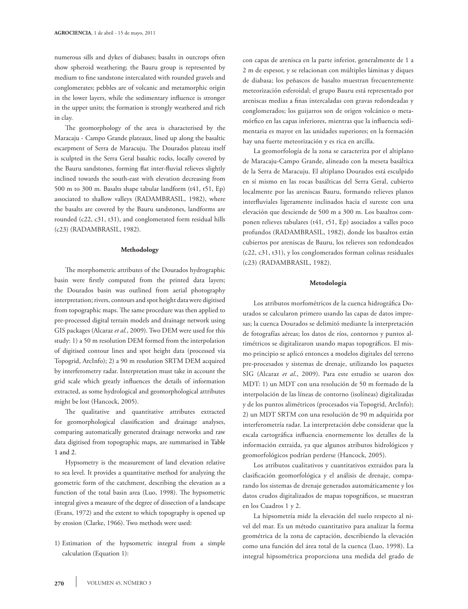numerous sills and dykes of diabases; basalts in outcrops often show spheroid weathering; the Bauru group is represented by medium to fine sandstone intercalated with rounded gravels and conglomerates; pebbles are of volcanic and metamorphic origin in the lower layers, while the sedimentary influence is stronger in the upper units; the formation is strongly weathered and rich in clay.

The geomorphology of the area is characterised by the Maracaju - Campo Grande plateaux, lined up along the basaltic escarpment of Serra de Maracuju. The Dourados plateau itself is sculpted in the Serra Geral basaltic rocks, locally covered by the Bauru sandstones, forming flat inter-fluvial relieves slightly inclined towards the south-east with elevation decreasing from 500 m to 300 m. Basalts shape tabular landform (t41, t51, Ep) associated to shallow valleys (RADAMBRASIL, 1982), where the basalts are covered by the Bauru sandstones, landforms are rounded (c22, c31, t31), and conglomerated form residual hills (c23) (RADAMBRASIL, 1982).

#### **Methodology**

The morphometric attributes of the Dourados hydrographic basin were firstly computed from the printed data layers; the Dourados basin was outlined from aerial photography interpretation; rivers, contours and spot height data were digitised from topographic maps. The same procedure was then applied to pre-processed digital terrain models and drainage network using GIS packages (Alcaraz *et al.*, 2009). Two DEM were used for this study: 1) a 50 m resolution DEM formed from the interpolation of digitised contour lines and spot height data (processed via Topogrid, ArcInfo); 2) a 90 m resolution SRTM DEM acquired by interferometry radar. Interpretation must take in account the grid scale which greatly influences the details of information extracted, as some hydrological and geomorphological attributes might be lost (Hancock, 2005).

The qualitative and quantitative attributes extracted for geomorphological classification and drainage analyses, comparing automatically generated drainage networks and raw data digitised from topographic maps, are summarised in Table 1 and 2.

Hypsometry is the measurement of land elevation relative to sea level. It provides a quantitative method for analyzing the geometric form of the catchment, describing the elevation as a function of the total basin area (Luo, 1998). The hypsometric integral gives a measure of the degree of dissection of a landscape (Evans, 1972) and the extent to which topography is opened up by erosion (Clarke, 1966). Two methods were used:

1) Estimation of the hypsometric integral from a simple calculation (Equation 1):

con capas de arenisca en la parte inferior, generalmente de 1 a 2 m de espesor, y se relacionan con múltiples láminas y diques de diabasa; los peñascos de basalto muestran frecuentemente meteorización esferoidal; el grupo Bauru está representado por areniscas medias a finas intercaladas con gravas redondeadas y conglomerados; los guijarros son de origen volcánico o metamórfico en las capas inferiores, mientras que la influencia sedimentaria es mayor en las unidades superiores; en la formación hay una fuerte meteorización y es rica en arcilla.

La geomorfología de la zona se caracteriza por el altiplano de Maracaju-Campo Grande, alineado con la meseta basáltica de la Serra de Maracuju. El altiplano Dourados está esculpido en sí mismo en las rocas basálticas del Serra Geral, cubierto localmente por las areniscas Bauru, formando relieves planos interfluviales ligeramente inclinados hacia el sureste con una elevación que desciende de 500 m a 300 m. Los basaltos componen relieves tabulares (t41, t51, Ep) asociados a valles poco profundos (RADAMBRASIL, 1982), donde los basaltos están cubiertos por areniscas de Bauru, los relieves son redondeados (c22, c31, t31), y los conglomerados forman colinas residuales (c23) (RADAMBRASIL, 1982).

#### **Metodología**

Los atributos morfométricos de la cuenca hidrográfica Dourados se calcularon primero usando las capas de datos impresas; la cuenca Dourados se delimitó mediante la interpretación de fotografías aéreas; los datos de ríos, contornos y puntos altimétricos se digitalizaron usando mapas topográficos. El mismo principio se aplicó entonces a modelos digitales del terreno pre-procesados y sistemas de drenaje, utilizando los paquetes SIG (Alcaraz *et al*., 2009). Para este estudio se usaron dos MDT: 1) un MDT con una resolución de 50 m formado de la interpolación de las líneas de contorno (isolíneas) digitalizadas y de los puntos alimétricos (procesados via Topogrid, ArcInfo); 2) un MDT SRTM con una resolución de 90 m adquirida por interferometría radar. La interpretación debe considerar que la escala cartográfica influencia enormemente los detalles de la información extraida, ya que algunos atributos hidrológicos y geomorfológicos podrían perderse (Hancock, 2005).

Los atributos cualitativos y cuantitativos extraidos para la clasificación geomorfológica y el análisis de drenaje, comparando los sistemas de drenaje generados automáticamente y los datos crudos digitalizados de mapas topográficos, se muestran en los Cuadros 1 y 2.

La hipsometría mide la elevación del suelo respecto al nivel del mar. Es un método cuantitativo para analizar la forma geométrica de la zona de captación, describiendo la elevación como una función del área total de la cuenca (Luo, 1998). La integral hipsométrica proporciona una medida del grado de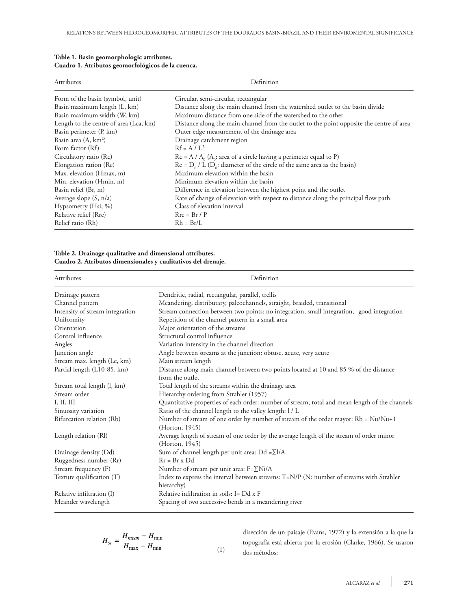| Attributes                             | Definition                                                                               |  |  |  |  |
|----------------------------------------|------------------------------------------------------------------------------------------|--|--|--|--|
| Form of the basin (symbol, unit)       | Circular, semi-circular, rectangular                                                     |  |  |  |  |
| Basin maximum length (L, km)           | Distance along the main channel from the watershed outlet to the basin divide            |  |  |  |  |
| Basin maximum width (W, km)            | Maximum distance from one side of the watershed to the other                             |  |  |  |  |
| Length to the centre of area (Lca, km) | Distance along the main channel from the outlet to the point opposite the centre of area |  |  |  |  |
| Basin perimeter (P, km)                | Outer edge measurement of the drainage area                                              |  |  |  |  |
| Basin area (A, km <sup>2</sup> )       | Drainage catchment region                                                                |  |  |  |  |
| Form factor (Rf)                       | $Rf = A / L^2$                                                                           |  |  |  |  |
| Circulatory ratio (Rc)                 | $Rc = A / A_0$ (A <sub>0</sub> : area of a circle having a perimeter equal to P)         |  |  |  |  |
| Elongation ration (Re)                 | $Re = D_0 / L (D_0:$ diameter of the circle of the same area as the basin)               |  |  |  |  |
| Max. elevation (Hmax, m)               | Maximum elevation within the basin                                                       |  |  |  |  |
| Min. elevation (Hmin, m)               | Minimum elevation within the basin                                                       |  |  |  |  |
| Basin relief (Br, m)                   | Difference in elevation between the highest point and the outlet                         |  |  |  |  |
| Average slope $(S, n/a)$               | Rate of change of elevation with respect to distance along the principal flow path       |  |  |  |  |
| Hypsometry (Hsi, %)                    | Class of elevation interval                                                              |  |  |  |  |
| Relative relief (Rre)                  | $Rre = Br / P$                                                                           |  |  |  |  |
| Relief ratio (Rh)                      | $Rh = Br/L$                                                                              |  |  |  |  |

| Table 1. Basin geomorphologic attributes.         |  |
|---------------------------------------------------|--|
| Cuadro 1. Atributos geomorfológicos de la cuenca. |  |

### **Table 2. Drainage qualitative and dimensional attributes. Cuadro 2. Atributos dimensionales y cualitativos del drenaje.**

| Attributes                      | Definition                                                                                                 |
|---------------------------------|------------------------------------------------------------------------------------------------------------|
| Drainage pattern                | Dendritic, radial, rectangular, parallel, trellis                                                          |
| Channel pattern                 | Meandering, distributary, paleochannels, straight, braided, transitional                                   |
| Intensity of stream integration | Stream connection between two points: no integration, small integration, good integration                  |
| Uniformity                      | Repetition of the channel pattern in a small area                                                          |
| Orientation                     | Major orientation of the streams                                                                           |
| Control influence               | Structural control influence                                                                               |
| Angles                          | Variation intensity in the channel direction                                                               |
| Junction angle                  | Angle between streams at the junction: obtuse, acute, very acute                                           |
| Stream max. length (Lc, km)     | Main stream length                                                                                         |
| Partial length (L10-85, km)     | Distance along main channel between two points located at 10 and 85 % of the distance<br>from the outlet   |
| Stream total length (l, km)     | Total length of the streams within the drainage area                                                       |
| Stream order                    | Hierarchy ordering from Strahler (1957)                                                                    |
| I, II, III                      | Quantitative properties of each order: number of stream, total and mean length of the channels             |
| Sinuosity variation             | Ratio of the channel length to the valley length: I / L                                                    |
| Bifurcation relation (Rb)       | Number of stream of one order by number of stream of the order mayor: Rb = Nu/Nu+1<br>(Horton, 1945)       |
| Length relation (RI)            | Average length of stream of one order by the average length of the stream of order minor<br>(Horton, 1945) |
| Drainage density (Dd)           | Sum of channel length per unit area: $Dd = \sum I/A$                                                       |
| Ruggedness number (Rr)          | $Rr = Br \times Dd$                                                                                        |
| Stream frequency (F)            | Number of stream per unit area: $F = \sum Ni/A$                                                            |
| Texture qualification (T)       | Index to express the interval between streams: T=N/P (N: number of streams with Strahler                   |
|                                 | hierarchy)                                                                                                 |
| Relative infiltration (I)       | Relative infiltration in soils: I= $Dd \times F$                                                           |
| Meander wavelength              | Spacing of two successive bends in a meandering river                                                      |

$$
H_{si} = \frac{H_{mean} - H_{min}}{H_{max} - H_{min}}
$$
\n(1)

disección de un paisaje (Evans, 1972) y la extensión a la que la topografía está abierta por la erosión (Clarke, 1966). Se usaron dos métodos: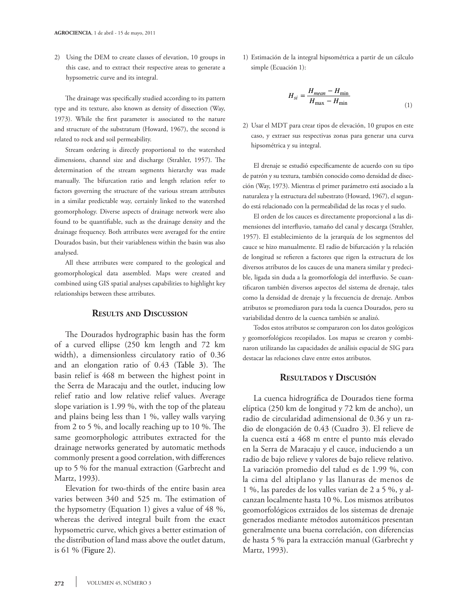2) Using the DEM to create classes of elevation, 10 groups in this case, and to extract their respective areas to generate a hypsometric curve and its integral.

The drainage was specifically studied according to its pattern type and its texture, also known as density of dissection (Way, 1973). While the first parameter is associated to the nature and structure of the substratum (Howard, 1967), the second is related to rock and soil permeability.

Stream ordering is directly proportional to the watershed dimensions, channel size and discharge (Strahler, 1957). The determination of the stream segments hierarchy was made manually. The bifurcation ratio and length relation refer to factors governing the structure of the various stream attributes in a similar predictable way, certainly linked to the watershed geomorphology. Diverse aspects of drainage network were also found to be quantifiable, such as the drainage density and the drainage frequency. Both attributes were averaged for the entire Dourados basin, but their variableness within the basin was also analysed.

All these attributes were compared to the geological and geomorphological data assembled. Maps were created and combined using GIS spatial analyses capabilities to highlight key relationships between these attributes.

### **Results and Discussion**

The Dourados hydrographic basin has the form of a curved ellipse (250 km length and 72 km width), a dimensionless circulatory ratio of 0.36 and an elongation ratio of 0.43 (Table 3). The basin relief is 468 m between the highest point in the Serra de Maracaju and the outlet, inducing low relief ratio and low relative relief values. Average slope variation is 1.99 %, with the top of the plateau and plains being less than 1 %, valley walls varying from 2 to 5 %, and locally reaching up to 10 %. The same geomorphologic attributes extracted for the drainage networks generated by automatic methods commonly present a good correlation, with differences up to 5 % for the manual extraction (Garbrecht and Martz, 1993).

Elevation for two-thirds of the entire basin area varies between 340 and 525 m. The estimation of the hypsometry (Equation 1) gives a value of 48 %, whereas the derived integral built from the exact hypsometric curve, which gives a better estimation of the distribution of land mass above the outlet datum, is 61 % (Figure 2).

1) Estimación de la integral hipsométrica a partir de un cálculo simple (Ecuación 1):

$$
H_{si} = \frac{H_{mean} - H_{min}}{H_{max} - H_{min}}
$$
\n(1)

2) Usar el MDT para crear tipos de elevación, 10 grupos en este caso, y extraer sus respectivas zonas para generar una curva hipsométrica y su integral.

El drenaje se estudió específicamente de acuerdo con su tipo de patrón y su textura, también conocido como densidad de disección (Way, 1973). Mientras el primer parámetro está asociado a la naturaleza y la estructura del subestrato (Howard, 1967), el segundo está relacionado con la permeabilidad de las rocas y el suelo.

El orden de los cauces es directamente proporcional a las dimensiones del interfluvio, tamaño del canal y descarga (Strahler, 1957). El establecimiento de la jerarquía de los segmentos del cauce se hizo manualmente. El radio de bifurcación y la relación de longitud se refieren a factores que rigen la estructura de los diversos atributos de los cauces de una manera similar y predecible, ligada sin duda a la geomorfología del interfluvio. Se cuantificaron también diversos aspectos del sistema de drenaje, tales como la densidad de drenaje y la frecuencia de drenaje. Ambos atributos se promediaron para toda la cuenca Dourados, pero su variabilidad dentro de la cuenca también se analizó.

Todos estos atributos se compararon con los datos geológicos y geomorfológicos recopilados. Los mapas se crearon y combinaron utilizando las capacidades de análisis espacial de SIG para destacar las relaciones clave entre estos atributos.

#### **Resultados y Discusión**

La cuenca hidrográfica de Dourados tiene forma elíptica (250 km de longitud y 72 km de ancho), un radio de circularidad adimensional de 0.36 y un radio de elongación de 0.43 (Cuadro 3). El relieve de la cuenca está a 468 m entre el punto más elevado en la Serra de Maracaju y el cauce, induciendo a un radio de bajo relieve y valores de bajo relieve relativo. La variación promedio del talud es de 1.99 %, con la cima del altiplano y las llanuras de menos de 1 %, las paredes de los valles varian de 2 a 5 %, y alcanzan localmente hasta 10 %. Los mismos atributos geomorfológicos extraidos de los sistemas de drenaje generados mediante métodos automáticos presentan generalmente una buena correlación, con diferencias de hasta 5 % para la extracción manual (Garbrecht y Martz, 1993).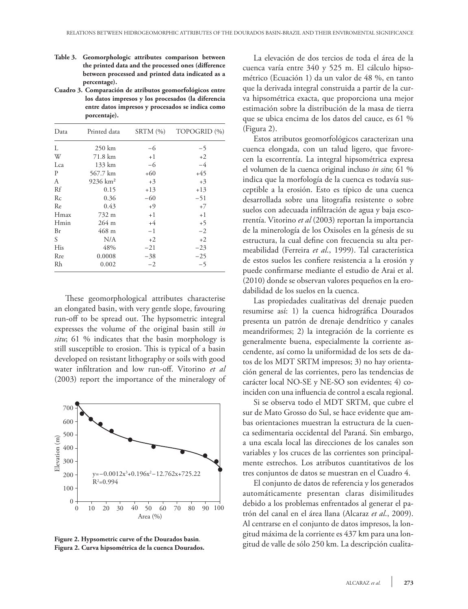- **Table 3. Geomorphologic attributes comparison between the printed data and the processed ones (difference between processed and printed data indicated as a percentage).**
- **Cuadro 3. Comparación de atributos geomorfológicos entre los datos impresos y los procesados (la diferencia entre datos impresos y procesados se indica como porcentaje).**

| Data | Printed data        | SRTM(%) | TOPOGRID (%) |  |  |
|------|---------------------|---------|--------------|--|--|
| L    | 250 km              | -6      | -5           |  |  |
| W    | 71.8 km             | $+1$    | $+2$         |  |  |
| Lca  | 133 km              | $-6$    | $-4$         |  |  |
| P    | 567.7 km            | $+60$   | $+45$        |  |  |
| A    | $9236 \text{ km}^2$ | $+3$    | $+3$         |  |  |
| Rf   | 0.15                | $+13$   | $+13$        |  |  |
| Rc   | 0.36                | $-60$   | $-51$        |  |  |
| Re   | 0.43                | $+9$    | $+7$         |  |  |
| Hmax | 732 m               | $+1$    | $+1$         |  |  |
| Hmin | $264 \text{ m}$     | $+4$    | $+5$         |  |  |
| Br   | 468 m               | $-1$    | $-2$         |  |  |
| S    | N/A                 | $+2$    | $+2$         |  |  |
| His  | 48%                 | $-21$   | $-23$        |  |  |
| Rre  | 0.0008              | $-38$   | $-25$        |  |  |
| Rh   | 0.002               | $-2$    | $-5$         |  |  |
|      |                     |         |              |  |  |

These geomorphological attributes characterise an elongated basin, with very gentle slope, favouring run-off to be spread out. The hypsometric integral expresses the volume of the original basin still *in situ*; 61 % indicates that the basin morphology is still susceptible to erosion. This is typical of a basin developed on resistant lithography or soils with good water infiltration and low run-off. Vitorino *et al* (2003) report the importance of the mineralogy of



**Figure 2. Hypsometric curve of the Dourados basin**. **Figura 2. Curva hipsométrica de la cuenca Dourados.**

La elevación de dos tercios de toda el área de la cuenca varía entre 340 y 525 m. El cálculo hipsométrico (Ecuación 1) da un valor de 48 %, en tanto que la derivada integral construida a partir de la curva hipsométrica exacta, que proporciona una mejor estimación sobre la distribución de la masa de tierra que se ubica encima de los datos del cauce, es 61 % (Figura 2).

Estos atributos geomorfológicos caracterizan una cuenca elongada, con un talud ligero, que favorecen la escorrentía. La integral hipsométrica expresa el volumen de la cuenca original incluso *in situ*; 61 % indica que la morfología de la cuenca es todavía susceptible a la erosión. Esto es típico de una cuenca desarrollada sobre una litografía resistente o sobre suelos con adecuada infiltración de agua y baja escorrentía. Vitorino *et al* (2003) reportan la importancia de la minerología de los Oxisoles en la génesis de su estructura, la cual define con frecuencia su alta permeabilidad (Ferreira *et al*., 1999). Tal característica de estos suelos les confiere resistencia a la erosión y puede confirmarse mediante el estudio de Arai et al. (2010) donde se observan valores pequeños en la erodabilidad de los suelos en la cuenca.

Las propiedades cualitativas del drenaje pueden resumirse así: 1) la cuenca hidrográfica Dourados presenta un patrón de drenaje dendrítico y canales meandriformes; 2) la integración de la corriente es generalmente buena, especialmente la corriente ascendente, así como la uniformidad de los sets de datos de los MDT SRTM impresos; 3) no hay orientación general de las corrientes, pero las tendencias de carácter local NO-SE y NE-SO son evidentes; 4) coinciden con una influencia de control a escala regional.

Si se observa todo el MDT SRTM, que cubre el sur de Mato Grosso do Sul, se hace evidente que ambas orientaciones muestran la estructura de la cuenca sedimentaria occidental del Paraná. Sin embargo, a una escala local las direcciones de los canales son variables y los cruces de las corrientes son principalmente estrechos. Los atributos cuantitativos de los tres conjuntos de datos se muestran en el Cuadro 4.

El conjunto de datos de referencia y los generados automáticamente presentan claras disimilitudes debido a los problemas enfrentados al generar el patrón del canal en el área llana (Alcaraz *et al*., 2009). Al centrarse en el conjunto de datos impresos, la longitud máxima de la corriente es 437 km para una longitud de valle de sólo 250 km. La descripción cualita-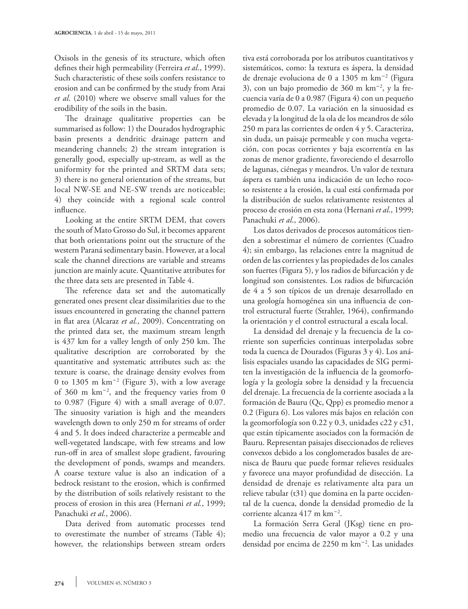Oxisols in the genesis of its structure, which often defines their high permeability (Ferreira *et al*., 1999). Such characteristic of these soils confers resistance to erosion and can be confirmed by the study from Arai *et al*. (2010) where we observe small values for the erodibility of the soils in the basin.

The drainage qualitative properties can be summarised as follow: 1) the Dourados hydrographic basin presents a dendritic drainage pattern and meandering channels; 2) the stream integration is generally good, especially up-stream, as well as the uniformity for the printed and SRTM data sets; 3) there is no general orientation of the streams, but local NW-SE and NE-SW trends are noticeable; 4) they coincide with a regional scale control influence.

Looking at the entire SRTM DEM, that covers the south of Mato Grosso do Sul, it becomes apparent that both orientations point out the structure of the western Paraná sedimentary basin. However, at a local scale the channel directions are variable and streams junction are mainly acute. Quantitative attributes for the three data sets are presented in Table 4.

The reference data set and the automatically generated ones present clear dissimilarities due to the issues encountered in generating the channel pattern in flat area (Alcaraz *et al.*, 2009). Concentrating on the printed data set, the maximum stream length is 437 km for a valley length of only 250 km. The qualitative description are corroborated by the quantitative and systematic attributes such as: the texture is coarse, the drainage density evolves from 0 to 1305 m km-<sup>2</sup> (Figure 3), with a low average of 360 m km-<sup>2</sup> , and the frequency varies from 0 to 0.987 (Figure 4) with a small average of 0.07. The sinuosity variation is high and the meanders wavelength down to only 250 m for streams of order 4 and 5. It does indeed characterize a permeable and well-vegetated landscape, with few streams and low run-off in area of smallest slope gradient, favouring the development of ponds, swamps and meanders. A coarse texture value is also an indication of a bedrock resistant to the erosion, which is confirmed by the distribution of soils relatively resistant to the process of erosion in this area (Hernani *et al.*, 1999; Panachuki *et al.*, 2006).

Data derived from automatic processes tend to overestimate the number of streams (Table 4); however, the relationships between stream orders

tiva está corroborada por los atributos cuantitativos y sistemáticos, como: la textura es áspera, la densidad de drenaje evoluciona de 0 a 1305 m km-<sup>2</sup> (Figura 3), con un bajo promedio de 360 m km-<sup>2</sup> , y la frecuencia varía de 0 a 0.987 (Figura 4) con un pequeño promedio de 0.07. La variación en la sinuosidad es elevada y la longitud de la ola de los meandros de sólo 250 m para las corrientes de orden 4 y 5. Caracteriza, sin duda, un paisaje permeable y con mucha vegetación, con pocas corrientes y baja escorrentía en las zonas de menor gradiente, favoreciendo el desarrollo de lagunas, ciénegas y meandros. Un valor de textura áspera es también una indicación de un lecho rocoso resistente a la erosión, la cual está confirmada por la distribución de suelos relativamente resistentes al proceso de erosión en esta zona (Hernani *et al*., 1999; Panachuki *et al*., 2006).

Los datos derivados de procesos automáticos tienden a sobrestimar el número de corrientes (Cuadro 4); sin embargo, las relaciones entre la magnitud de orden de las corrientes y las propiedades de los canales son fuertes (Figura 5), y los radios de bifurcación y de longitud son consistentes. Los radios de bifurcación de 4 a 5 son típicos de un drenaje desarrollado en una geología homogénea sin una influencia de control estructural fuerte (Strahler, 1964), confirmando la orientación y el control estructural a escala local.

La densidad del drenaje y la frecuencia de la corriente son superficies continuas interpoladas sobre toda la cuenca de Dourados (Figuras 3 y 4). Los análisis espaciales usando las capacidades de SIG permiten la investigación de la influencia de la geomorfología y la geología sobre la densidad y la frecuencia del drenaje. La frecuencia de la corriente asociada a la formación de Bauru (Qc, Qpp) es promedio menor a 0.2 (Figura 6). Los valores más bajos en relación con la geomorfología son 0.22 y 0.3, unidades c22 y c31, que están típicamente asociados con la formación de Bauru. Representan paisajes diseccionados de relieves convexos debido a los conglomerados basales de arenisca de Bauru que puede formar relieves residuales y favorece una mayor profundidad de disección. La densidad de drenaje es relativamente alta para un relieve tabular (t31) que domina en la parte occidental de la cuenca, donde la densidad promedio de la corriente alcanza 417 m km-<sup>2</sup> .

La formación Serra Geral (JKsg) tiene en promedio una frecuencia de valor mayor a 0.2 y una densidad por encima de 2250 m km-<sup>2</sup> . Las unidades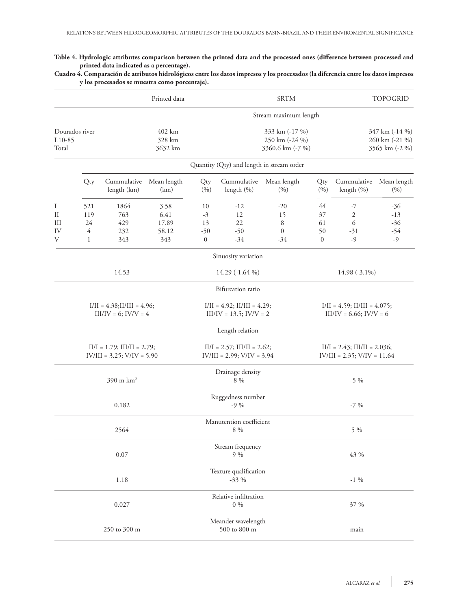**Table 4. Hydrologic attributes comparison between the printed data and the processed ones (difference between processed and printed data indicated as a percentage).**

### **Cuadro 4. Comparación de atributos hidrológicos entre los datos impresos y los procesados (la diferencia entre los datos impresos y los procesados se muestra como porcentaje).**

|                                                                   |                            | Printed data                     | <b>SRTM</b>                                                       |                                             |                                           |                                                                      | <b>TOPOGRID</b>                        |                                            |                                                    |  |
|-------------------------------------------------------------------|----------------------------|----------------------------------|-------------------------------------------------------------------|---------------------------------------------|-------------------------------------------|----------------------------------------------------------------------|----------------------------------------|--------------------------------------------|----------------------------------------------------|--|
|                                                                   |                            |                                  |                                                                   |                                             |                                           | Stream maximum length                                                |                                        |                                            |                                                    |  |
| Dourados river<br>L10-85<br>Total                                 |                            | 402 km<br>328 km<br>3632 km      |                                                                   |                                             |                                           | 333 km (-17 %)<br>250 km (-24 %)<br>3360.6 km (-7 %)                 |                                        |                                            | 347 km (-14 %)<br>260 km (-21 %)<br>3565 km (-2 %) |  |
|                                                                   |                            |                                  |                                                                   |                                             | Quantity (Qty) and length in stream order |                                                                      |                                        |                                            |                                                    |  |
|                                                                   | Qty                        | Cummulative<br>length (km)       | Mean length<br>(km)                                               | Qty<br>(9/0)                                | Cummulative<br>length (%)                 | Mean length<br>(9/0)                                                 | Qty<br>(%)                             | Cummulative<br>length (%)                  | Mean length<br>(%)                                 |  |
| Ι<br>$\rm II$<br>III<br>IV<br>V                                   | 521<br>119<br>24<br>4<br>1 | 1864<br>763<br>429<br>232<br>343 | 3.58<br>6.41<br>17.89<br>58.12<br>343                             | 10<br>$-3$<br>13<br>$-50$<br>$\overline{0}$ | $-12$<br>12<br>22<br>$-50$<br>$-34$       | $-20$<br>15<br>8<br>$\overline{0}$<br>$-34$                          | 44<br>37<br>61<br>50<br>$\overline{0}$ | -7<br>$\mathfrak{2}$<br>6<br>$-31$<br>$-9$ | -36<br>$-13$<br>$-36$<br>$-54$<br>$-9$             |  |
|                                                                   |                            |                                  |                                                                   |                                             | Sinuosity variation                       |                                                                      |                                        |                                            |                                                    |  |
| 14.53                                                             |                            |                                  | 14.29 (-1.64 %)                                                   |                                             |                                           | 14.98 (-3.1%)                                                        |                                        |                                            |                                                    |  |
|                                                                   |                            |                                  |                                                                   |                                             | Bifurcation ratio                         |                                                                      |                                        |                                            |                                                    |  |
| $I/II = 4.38; II/III = 4.96;$<br>$III/IV = 6$ ; $IV/V = 4$        |                            |                                  | $I/II = 4.92$ ; $II/III = 4.29$ ;<br>$III/IV = 13.5; IV/V = 2$    |                                             |                                           | $I/II = 4.59$ ; $II/III = 4.075$ ;<br>$III/IV = 6.66$ ; $IV/V = 6$   |                                        |                                            |                                                    |  |
|                                                                   |                            |                                  |                                                                   |                                             | Length relation                           |                                                                      |                                        |                                            |                                                    |  |
| $II/I = 1.79$ ; $III/II = 2.79$ ;<br>$IV/III = 3.25; V/IV = 5.90$ |                            |                                  | $II/I = 2.57$ ; $III/II = 2.62$ ;<br>$IV/III = 2.99; V/IV = 3.94$ |                                             |                                           | $II/I = 2.43$ ; $IIII/II = 2.036$ ;<br>$IV/III = 2.35; V/IV = 11.64$ |                                        |                                            |                                                    |  |
| 390 m km <sup>2</sup>                                             |                            |                                  | Drainage density<br>$-8\%$                                        |                                             |                                           | $-5\%$                                                               |                                        |                                            |                                                    |  |
| 0.182                                                             |                            |                                  | Ruggedness number<br>$-9\%$                                       |                                             |                                           | $-7\%$                                                               |                                        |                                            |                                                    |  |
| 2564                                                              |                            |                                  | Manutention coefficient<br>8 %                                    |                                             |                                           | 5 %                                                                  |                                        |                                            |                                                    |  |
| 0.07                                                              |                            | Stream frequency<br>9%           |                                                                   |                                             | 43 %                                      |                                                                      |                                        |                                            |                                                    |  |
| 1.18                                                              |                            |                                  |                                                                   | Texture qualification<br>$-33%$             |                                           |                                                                      | $-1\%$                                 |                                            |                                                    |  |
| 0.027                                                             |                            |                                  | Relative infiltration<br>$0\ \%$                                  |                                             |                                           | 37 %                                                                 |                                        |                                            |                                                    |  |
| 250 to 300 m                                                      |                            |                                  | Meander wavelength<br>500 to 800 m                                |                                             |                                           | main                                                                 |                                        |                                            |                                                    |  |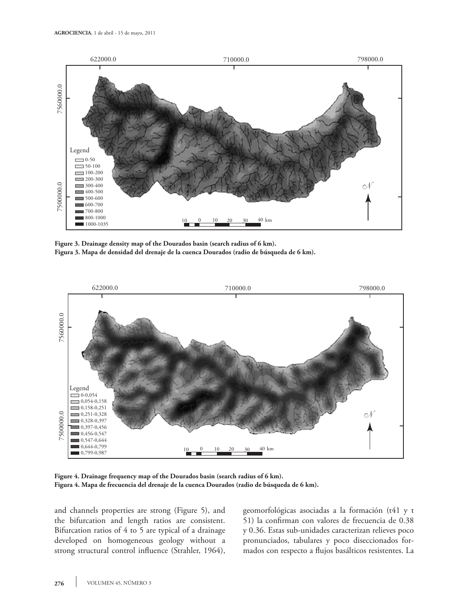

**Figure 3. Drainage density map of the Dourados basin (search radius of 6 km). Figura 3. Mapa de densidad del drenaje de la cuenca Dourados (radio de búsqueda de 6 km).**



**Figure 4. Drainage frequency map of the Dourados basin (search radius of 6 km). Figura 4. Mapa de frecuencia del drenaje de la cuenca Dourados (radio de búsqueda de 6 km).**

and channels properties are strong (Figure 5), and the bifurcation and length ratios are consistent. Bifurcation ratios of 4 to 5 are typical of a drainage developed on homogeneous geology without a strong structural control influence (Strahler, 1964), geomorfológicas asociadas a la formación (t41 y t 51) la confirman con valores de frecuencia de 0.38 y 0.36. Estas sub-unidades caracterizan relieves poco pronunciados, tabulares y poco diseccionados formados con respecto a flujos basálticos resistentes. La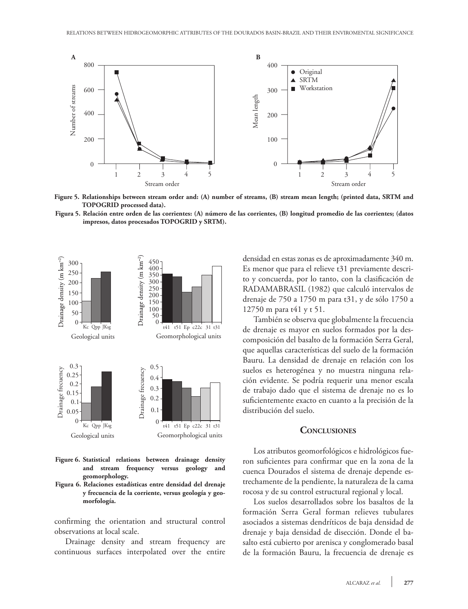

**Figure 5. Relationships between stream order and: (A) number of streams, (B) stream mean length; (printed data, SRTM and TOPOGRID processed data).**

**Figura 5. Relación entre orden de las corrientes: (A) número de las corrientes, (B) longitud promedio de las corrientes; (datos impresos, datos procesados TOPOGRID y SRTM).**



- **Figure 6. Statistical relations between drainage density and stream frequency versus geology and geomorphology.**
- **Figura 6. Relaciones estadísticas entre densidad del drenaje y frecuencia de la corriente, versus geología y geomorfología.**

confirming the orientation and structural control observations at local scale.

Drainage density and stream frequency are continuous surfaces interpolated over the entire densidad en estas zonas es de aproximadamente 340 m. Es menor que para el relieve t31 previamente descrito y concuerda, por lo tanto, con la clasificación de RADAMABRASIL (1982) que calculó intervalos de drenaje de 750 a 1750 m para t31, y de sólo 1750 a 12750 m para t41 y t 51.

También se observa que globalmente la frecuencia de drenaje es mayor en suelos formados por la descomposición del basalto de la formación Serra Geral, que aquellas características del suelo de la formación Bauru. La densidad de drenaje en relación con los suelos es heterogénea y no muestra ninguna relación evidente. Se podría requerir una menor escala de trabajo dado que el sistema de drenaje no es lo suficientemente exacto en cuanto a la precisión de la distribución del suelo.

#### **Conclusiones**

Los atributos geomorfológicos e hidrológicos fueron suficientes para confirmar que en la zona de la cuenca Dourados el sistema de drenaje depende estrechamente de la pendiente, la naturaleza de la cama rocosa y de su control estructural regional y local.

Los suelos desarrollados sobre los basaltos de la formación Serra Geral forman relieves tubulares asociados a sistemas dendríticos de baja densidad de drenaje y baja densidad de disección. Donde el basalto está cubierto por arenisca y conglomerado basal de la formación Bauru, la frecuencia de drenaje es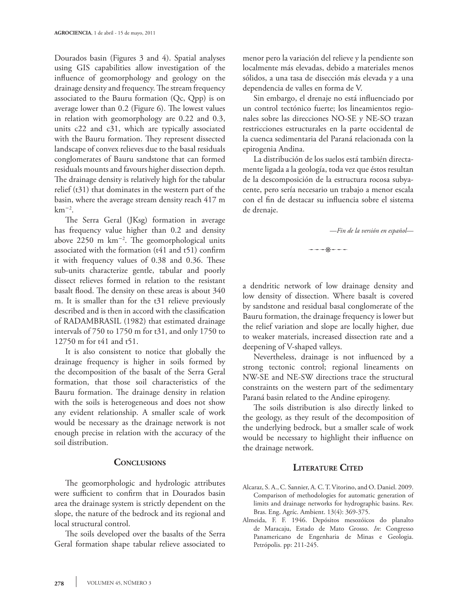Dourados basin (Figures 3 and 4). Spatial analyses using GIS capabilities allow investigation of the influence of geomorphology and geology on the drainage density and frequency. The stream frequency associated to the Bauru formation (Qc, Qpp) is on average lower than 0.2 (Figure 6). The lowest values in relation with geomorphology are 0.22 and 0.3, units c22 and c31, which are typically associated with the Bauru formation. They represent dissected landscape of convex relieves due to the basal residuals conglomerates of Bauru sandstone that can formed residuals mounts and favours higher dissection depth. The drainage density is relatively high for the tabular relief (t31) that dominates in the western part of the basin, where the average stream density reach 417 m  $km^{-2}$ .

The Serra Geral (JKsg) formation in average has frequency value higher than 0.2 and density above  $2250 \text{ m km}^{-2}$ . The geomorphological units associated with the formation (t41 and t51) confirm it with frequency values of 0.38 and 0.36. These sub-units characterize gentle, tabular and poorly dissect relieves formed in relation to the resistant basalt flood. The density on these areas is about 340 m. It is smaller than for the t31 relieve previously described and is then in accord with the classification of RADAMBRASIL (1982) that estimated drainage intervals of 750 to 1750 m for t31, and only 1750 to 12750 m for t41 and t51.

It is also consistent to notice that globally the drainage frequency is higher in soils formed by the decomposition of the basalt of the Serra Geral formation, that those soil characteristics of the Bauru formation. The drainage density in relation with the soils is heterogeneous and does not show any evident relationship. A smaller scale of work would be necessary as the drainage network is not enough precise in relation with the accuracy of the soil distribution.

## **Conclusions**

The geomorphologic and hydrologic attributes were sufficient to confirm that in Dourados basin area the drainage system is strictly dependent on the slope, the nature of the bedrock and its regional and local structural control.

The soils developed over the basalts of the Serra Geral formation shape tabular relieve associated to menor pero la variación del relieve y la pendiente son localmente más elevadas, debido a materiales menos sólidos, a una tasa de disección más elevada y a una dependencia de valles en forma de V.

Sin embargo, el drenaje no está influenciado por un control tectónico fuerte; los lineamientos regionales sobre las direcciones NO-SE y NE-SO trazan restricciones estructurales en la parte occidental de la cuenca sedimentaria del Paraná relacionada con la epirogenia Andina.

La distribución de los suelos está también directamente ligada a la geología, toda vez que éstos resultan de la descomposición de la estructura rocosa subyacente, pero sería necesario un trabajo a menor escala con el fin de destacar su influencia sobre el sistema de drenaje.

—*Fin de la versión en español*—

---\*---

a dendritic network of low drainage density and low density of dissection. Where basalt is covered by sandstone and residual basal conglomerate of the Bauru formation, the drainage frequency is lower but the relief variation and slope are locally higher, due to weaker materials, increased dissection rate and a deepening of V-shaped valleys.

Nevertheless, drainage is not influenced by a strong tectonic control; regional lineaments on NW-SE and NE-SW directions trace the structural constraints on the western part of the sedimentary Paraná basin related to the Andine epirogeny.

The soils distribution is also directly linked to the geology, as they result of the decomposition of the underlying bedrock, but a smaller scale of work would be necessary to highlight their influence on the drainage network.

# **Literature Cited**

- Alcaraz, S. A., C. Sannier, A. C. T. Vitorino, and O. Daniel. 2009. Comparison of methodologies for automatic generation of limits and drainage networks for hydrographic basins. Rev. Bras. Eng. Agríc. Ambient. 13(4): 369-375.
- Almeida, F. F. 1946. Depósitos mesozóicos do planalto de Maracaju, Estado de Mato Grosso. *In*: Congresso Panamericano de Engenharia de Minas e Geologia. Petrópolis. pp: 211-245.